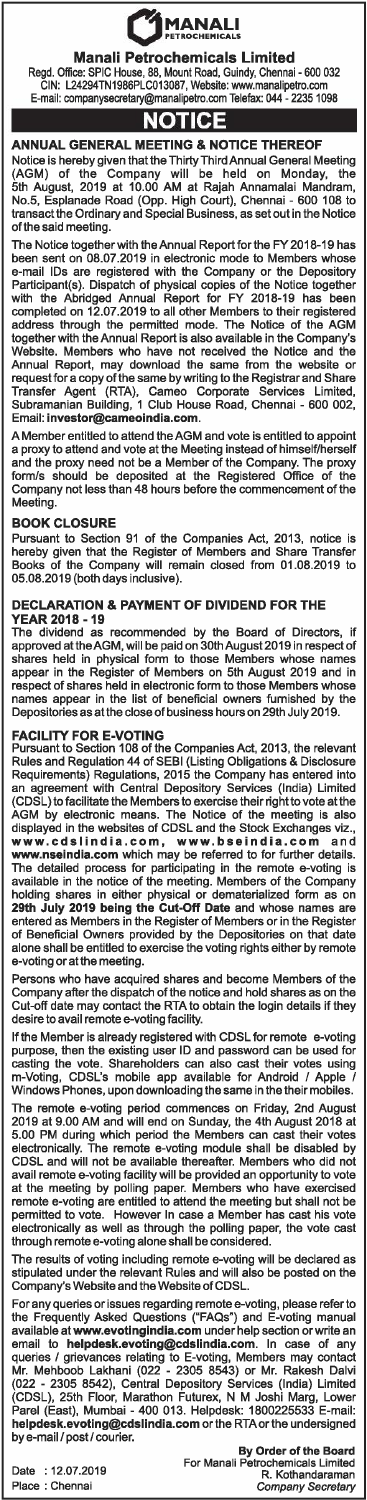# **C**<br>MANALI

**Manali Petrochemicals Limited** 

Regd. Office: SPIC House, 88, Mount Road, Guindy, Chennai - 600 032 GIN: L24294TN1986PLC013087, Website: www.manalipetro.com E-mail: companysecretary@manalipetro.com Telefax: 044 - 2235 1098

# **NOTICE**

**ANNUAL GENERAL MEETING & NOTICE THEREOF** 

Notice is hereby given that the Thirty Third Annual General Meeting {AGM) of the Company will be held on Monday, the 5th August, 2019 at 10.00 AM at Rajah Annamalai Mandram, No.5, Esplanade Road {Opp. High Court), Chennai - 600 108 to transact the Ordinary and Special Business, as set out in the Notice of the said meeting.

The Notice together with the Annual Report for the FY 2018-19 has been sent on 08.07.2019 in electronic mode to Members whose e-mail IDs are registered with the Company or the Depository Participant{s). Dispatch of physical copies of the Notice together with the Abridged Annual Report for FY 2018-19 has been completed on 12.07.2019 to all other Members to their registered address through the penmitted mode. The Notice of the AGM together with the Annual Report is also available in the Company's Website. Members who have not received the Notice and the Annual Report, may download the same from the website or request for a copy of the same by writing to the Registrar and Share Transfer Agent {RTA), Cameo Corporate Services Limited, Subramanian Building, 1 Club House Road, Chennai - 600 002, Email: **investor@cameoindia.com.** 

A Member entitled to attend the AGM and vote is entitled to appoint a proxy to attend and vote at the Meeting instead of himself/herself and the proxy need not be a Member of the Company. The proxy form/s should be deposited at the Registered Office of the Company not less than 48 hours before the commencement of the Meeting.

### **BOOK CLOSURE**

Pursuant to Section 91 of the Companies Act, 2013, notice is hereby given that the Register of Members and Share Transfer Books of the Company will remain closed from 01.08.2019 to 05.08.2019 {both days inclusive).

## **DECLARATION & PAYMENT OF DIVIDEND FOR THE**

**YEAR 2018 -19**  The dividend as recommended by the Board of Directors, if The dividend as recommended by the Board of Directors, if<br>approved at the AGM, will be paid on 30th August 2019 in respect of shares held in physical form to those Members whose names appear in the Register of Members on 5th August 2019 and in respect of shares held in electronic form to those Members whose names appear in the list of beneficial owners furnished by the Depositories as at the close of business hours on 29th July 2019.

**FACILITY FOR E-VOTING**<br>Pursuant to Section 108 of the Companies Act, 2013, the relevant<br>Rules and Regulation 44 of SEBI (Listing Obligations & Disclosure<br>Requirements) Regulations, 2015 the Company has entered into an agreement with Central Depository Services {India) Limited (CDSL) to facilitate the Members to exercise their right to vote at the AGM by electronic means. The Notice of the meeting is also displayed in the websites of CDSL and the Stock Exchanges viz., **www.cdslindia.com, www.bseindia.com** and **www.nseindia.com** which may be referred to for further details. The detailed process for participating in the remote e-voting is available in the notice of the meeting. Members of the Company holding shares in either physical or dematerialized form as on **29th July 2019 being the Cut-Off Date** and whose names are entered as Members in the Register of Members or in the Register of Beneficial Owners provided by the Depositories on that date alone shall be entitled to exercise the voting rights either by remote e-voting or at the meeting.

Persons who have acquired shares and become Members of the Company after the dispatch of the notice and hold shares as on the Cut-off date may contact the RTA to obtain the login details if they desire to avail remote e-voling facility.

If the Member is already registered with CDSL for remote e-voting purpose, then the existing user ID and password can be used for casting the vote. Shareholders can also cast their votes using m-Voting, CDSL's mobile app available for Android *I* Apple *I*  Windows Phones, upon downloading the same in the their mobiles.

The remote e-voling period commences on Friday, 2nd August 2019 at 9.00 AM and will end on Sunday, the 4th August 2018 at 5.00 PM during which period the Members can cast their votes electronically. The remote e-voting module shall be disabled by CDSL and will not be available thereafter. Members who did not avail remote e-voling facility will be provided an opportunity to vote at the meeting by polling paper. Members who have exercised remote e-voting are entitled to attend the meeting but shall not be penmitted to vote. However In case a Member has cast his vote electronically as well as through the polling paper, the vote cast through remote e-voting alone shall be considered.

The results of voling including remote e-voling will be declared as stipulated under the relevant Rules and will also be posted on the Company's Website and the Website of CDSL.

For any queries or issues regarding remote e-voling, please refer to the Frequently Asked Questions {"FAQs") and E-voling manual available at **www.evotingindia.com** under help section or write an email to **helpdesk.evoting@cdslindia.com.** In case of any queries *I* grievances relating to E-voting, Members may contact Mr. Mehboob Lakhani (022 - 2305 8543) or Mr. Rakesh Dalvi (022 - 2305 8542), Central Depository Services {India) Limited {CDSL), 25th Floor, Marathon Futurex, N M Joshi Marg, Lower Parel {East), Mumbai - 400 013. Helpdesk: 1800225533 E-mail: **helpdesk.evoting@cdslindia.com** or the RTAorthe undersigned by e-mail *I* post/ courier.

Date : 12.07.2019 Place : Chennai

**By Order of the Board<br>For Manali Petrochemicals Limited<br>R. Kothandaraman<br>***Company Secretary*